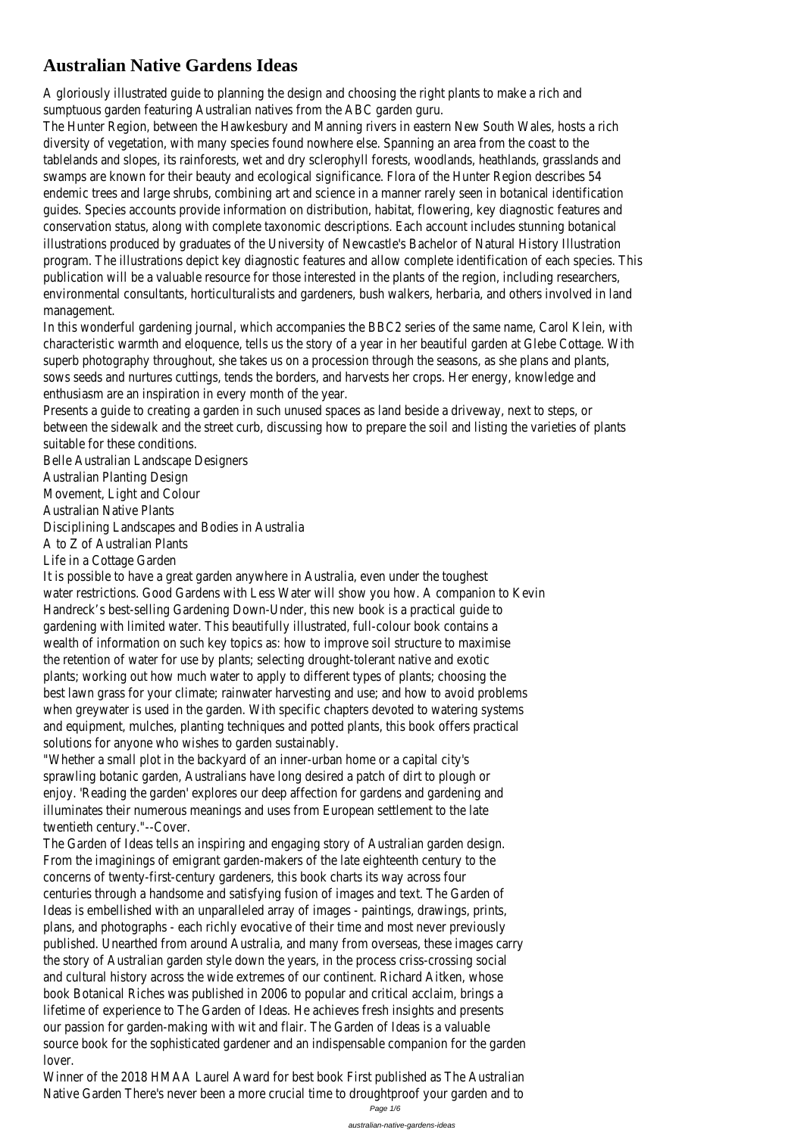## **Australian Native Gardens Ideas**

A gloriously illustrated guide to planning the design and choosing the right plants to make a rich and sumptuous garden featuring Australian natives from the ABC garden guru.

The Hunter Region, between the Hawkesbury and Manning rivers in eastern New South Wales, hosts a rich diversity of vegetation, with many species found nowhere else. Spanning an area from the coast to the tablelands and slopes, its rainforests, wet and dry sclerophyll forests, woodlands, heathlands, grasslands and swamps are known for their beauty and ecological significance. Flora of the Hunter Region describes 54 endemic trees and large shrubs, combining art and science in a manner rarely seen in botanical identification guides. Species accounts provide information on distribution, habitat, flowering, key diagnostic features and conservation status, along with complete taxonomic descriptions. Each account includes stunning botanical illustrations produced by graduates of the University of Newcastle's Bachelor of Natural History Illustration program. The illustrations depict key diagnostic features and allow complete identification of each species. This publication will be a valuable resource for those interested in the plants of the region, including researchers, environmental consultants, horticulturalists and gardeners, bush walkers, herbaria, and others involved in land management.

In this wonderful gardening journal, which accompanies the BBC2 series of the same name, Carol Klein, with characteristic warmth and eloquence, tells us the story of a year in her beautiful garden at Glebe Cottage. With superb photography throughout, she takes us on a procession through the seasons, as she plans and plants, sows seeds and nurtures cuttings, tends the borders, and harvests her crops. Her energy, knowledge and enthusiasm are an inspiration in every month of the year.

Presents a guide to creating a garden in such unused spaces as land beside a driveway, next to steps, or between the sidewalk and the street curb, discussing how to prepare the soil and listing the varieties of plants suitable for these conditions.

Belle Australian Landscape Designers Australian Planting Design Movement, Light and Colour Australian Native Plants Disciplining Landscapes and Bodies in Australia A to Z of Australian Plants

Life in a Cottage Garden

It is possible to have a great garden anywhere in Australia, even under the toughest water restrictions. Good Gardens with Less Water will show you how. A companion to Kevin Handreck's best-selling Gardening Down-Under, this new book is a practical guide to gardening with limited water. This beautifully illustrated, full-colour book contains a wealth of information on such key topics as: how to improve soil structure to maximise the retention of water for use by plants; selecting drought-tolerant native and exotic plants; working out how much water to apply to different types of plants; choosing the best lawn grass for your climate; rainwater harvesting and use; and how to avoid problems when greywater is used in the garden. With specific chapters devoted to watering systems and equipment, mulches, planting techniques and potted plants, this book offers practical solutions for anyone who wishes to garden sustainably.

"Whether a small plot in the backyard of an inner-urban home or a capital city's sprawling botanic garden, Australians have long desired a patch of dirt to plough or enjoy. 'Reading the garden' explores our deep affection for gardens and gardening and illuminates their numerous meanings and uses from European settlement to the late twentieth century."--Cover.

The Garden of Ideas tells an inspiring and engaging story of Australian garden design. From the imaginings of emigrant garden-makers of the late eighteenth century to the concerns of twenty-first-century gardeners, this book charts its way across four centuries through a handsome and satisfying fusion of images and text. The Garden of Ideas is embellished with an unparalleled array of images - paintings, drawings, prints, plans, and photographs - each richly evocative of their time and most never previously published. Unearthed from around Australia, and many from overseas, these images carry the story of Australian garden style down the years, in the process criss-crossing social and cultural history across the wide extremes of our continent. Richard Aitken, whose book Botanical Riches was published in 2006 to popular and critical acclaim, brings a lifetime of experience to The Garden of Ideas. He achieves fresh insights and presents our passion for garden-making with wit and flair. The Garden of Ideas is a valuable source book for the sophisticated gardener and an indispensable companion for the garden lover. Winner of the 2018 HMAA Laurel Award for best book First published as The Australian Native Garden There's never been a more crucial time to droughtproof your garden and to

Page 1/6

australian-native-gardens-ideas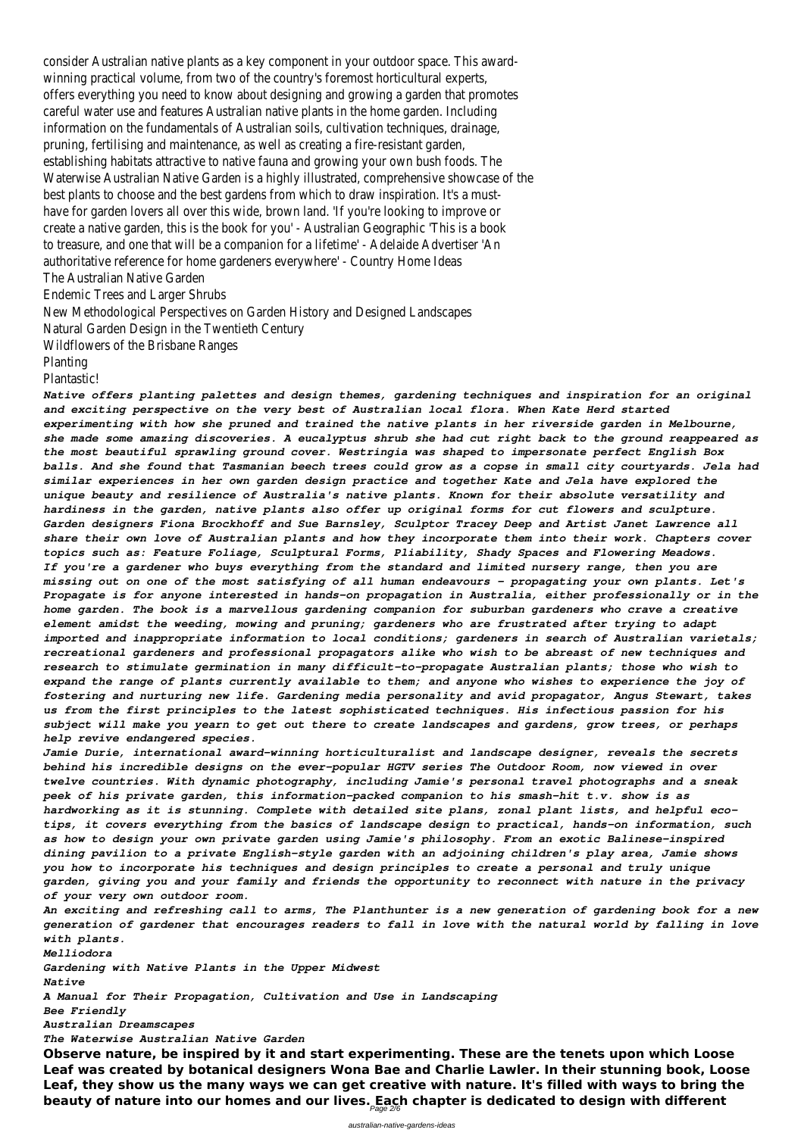consider Australian native plants as a key component in your outdoor space. This awardwinning practical volume, from two of the country's foremost horticultural experts, offers everything you need to know about designing and growing a garden that promotes careful water use and features Australian native plants in the home garden. Including information on the fundamentals of Australian soils, cultivation techniques, drainage, pruning, fertilising and maintenance, as well as creating a fire-resistant garden, establishing habitats attractive to native fauna and growing your own bush foods. The Waterwise Australian Native Garden is a highly illustrated, comprehensive showcase of the best plants to choose and the best gardens from which to draw inspiration. It's a musthave for garden lovers all over this wide, brown land. 'If you're looking to improve or create a native garden, this is the book for you' - Australian Geographic 'This is a book to treasure, and one that will be a companion for a lifetime' - Adelaide Advertiser 'An authoritative reference for home gardeners everywhere' - Country Home Ideas The Australian Native Garden

Endemic Trees and Larger Shrubs

New Methodological Perspectives on Garden History and Designed Landscapes

Natural Garden Design in the Twentieth Century

Wildflowers of the Brisbane Ranges

Planting

Plantastic!

*Native offers planting palettes and design themes, gardening techniques and inspiration for an original and exciting perspective on the very best of Australian local flora. When Kate Herd started experimenting with how she pruned and trained the native plants in her riverside garden in Melbourne, she made some amazing discoveries. A eucalyptus shrub she had cut right back to the ground reappeared as the most beautiful sprawling ground cover. Westringia was shaped to impersonate perfect English Box balls. And she found that Tasmanian beech trees could grow as a copse in small city courtyards. Jela had similar experiences in her own garden design practice and together Kate and Jela have explored the unique beauty and resilience of Australia's native plants. Known for their absolute versatility and hardiness in the garden, native plants also offer up original forms for cut flowers and sculpture. Garden designers Fiona Brockhoff and Sue Barnsley, Sculptor Tracey Deep and Artist Janet Lawrence all share their own love of Australian plants and how they incorporate them into their work. Chapters cover topics such as: Feature Foliage, Sculptural Forms, Pliability, Shady Spaces and Flowering Meadows. If you're a gardener who buys everything from the standard and limited nursery range, then you are missing out on one of the most satisfying of all human endeavours - propagating your own plants. Let's Propagate is for anyone interested in hands-on propagation in Australia, either professionally or in the home garden. The book is a marvellous gardening companion for suburban gardeners who crave a creative element amidst the weeding, mowing and pruning; gardeners who are frustrated after trying to adapt imported and inappropriate information to local conditions; gardeners in search of Australian varietals; recreational gardeners and professional propagators alike who wish to be abreast of new techniques and research to stimulate germination in many difficult-to-propagate Australian plants; those who wish to expand the range of plants currently available to them; and anyone who wishes to experience the joy of fostering and nurturing new life. Gardening media personality and avid propagator, Angus Stewart, takes us from the first principles to the latest sophisticated techniques. His infectious passion for his subject will make you yearn to get out there to create landscapes and gardens, grow trees, or perhaps help revive endangered species.*

*Jamie Durie, international award-winning horticulturalist and landscape designer, reveals the secrets behind his incredible designs on the ever-popular HGTV series The Outdoor Room, now viewed in over twelve countries. With dynamic photography, including Jamie's personal travel photographs and a sneak peek of his private garden, this information-packed companion to his smash-hit t.v. show is as hardworking as it is stunning. Complete with detailed site plans, zonal plant lists, and helpful ecotips, it covers everything from the basics of landscape design to practical, hands-on information, such as how to design your own private garden using Jamie's philosophy. From an exotic Balinese-inspired dining pavilion to a private English-style garden with an adjoining children's play area, Jamie shows you how to incorporate his techniques and design principles to create a personal and truly unique garden, giving you and your family and friends the opportunity to reconnect with nature in the privacy of your very own outdoor room.*

*An exciting and refreshing call to arms, The Planthunter is a new generation of gardening book for a new generation of gardener that encourages readers to fall in love with the natural world by falling in love with plants.*

*Melliodora*

*Gardening with Native Plants in the Upper Midwest*

*Native*

*A Manual for Their Propagation, Cultivation and Use in Landscaping*

*Bee Friendly*

*Australian Dreamscapes*

*The Waterwise Australian Native Garden*

**Observe nature, be inspired by it and start experimenting. These are the tenets upon which Loose Leaf was created by botanical designers Wona Bae and Charlie Lawler. In their stunning book, Loose Leaf, they show us the many ways we can get creative with nature. It's filled with ways to bring the beauty of nature into our homes and our lives. Each chapter is dedicated to design with different** Page 2/6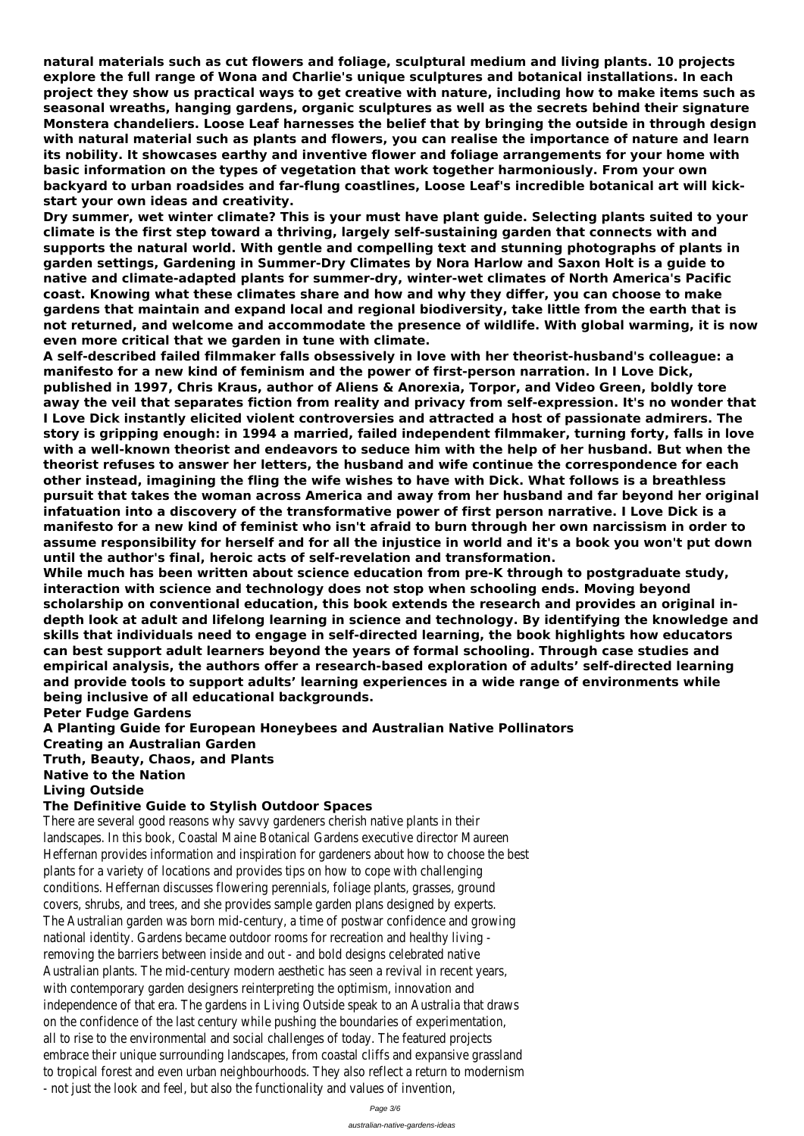**natural materials such as cut flowers and foliage, sculptural medium and living plants. 10 projects explore the full range of Wona and Charlie's unique sculptures and botanical installations. In each project they show us practical ways to get creative with nature, including how to make items such as seasonal wreaths, hanging gardens, organic sculptures as well as the secrets behind their signature Monstera chandeliers. Loose Leaf harnesses the belief that by bringing the outside in through design with natural material such as plants and flowers, you can realise the importance of nature and learn its nobility. It showcases earthy and inventive flower and foliage arrangements for your home with basic information on the types of vegetation that work together harmoniously. From your own backyard to urban roadsides and far-flung coastlines, Loose Leaf's incredible botanical art will kickstart your own ideas and creativity.**

**Dry summer, wet winter climate? This is your must have plant guide. Selecting plants suited to your climate is the first step toward a thriving, largely self-sustaining garden that connects with and supports the natural world. With gentle and compelling text and stunning photographs of plants in garden settings, Gardening in Summer-Dry Climates by Nora Harlow and Saxon Holt is a guide to native and climate-adapted plants for summer-dry, winter-wet climates of North America's Pacific coast. Knowing what these climates share and how and why they differ, you can choose to make gardens that maintain and expand local and regional biodiversity, take little from the earth that is not returned, and welcome and accommodate the presence of wildlife. With global warming, it is now even more critical that we garden in tune with climate.**

**A self-described failed filmmaker falls obsessively in love with her theorist-husband's colleague: a manifesto for a new kind of feminism and the power of first-person narration. In I Love Dick, published in 1997, Chris Kraus, author of Aliens & Anorexia, Torpor, and Video Green, boldly tore away the veil that separates fiction from reality and privacy from self-expression. It's no wonder that I Love Dick instantly elicited violent controversies and attracted a host of passionate admirers. The story is gripping enough: in 1994 a married, failed independent filmmaker, turning forty, falls in love with a well-known theorist and endeavors to seduce him with the help of her husband. But when the theorist refuses to answer her letters, the husband and wife continue the correspondence for each other instead, imagining the fling the wife wishes to have with Dick. What follows is a breathless pursuit that takes the woman across America and away from her husband and far beyond her original infatuation into a discovery of the transformative power of first person narrative. I Love Dick is a manifesto for a new kind of feminist who isn't afraid to burn through her own narcissism in order to assume responsibility for herself and for all the injustice in world and it's a book you won't put down until the author's final, heroic acts of self-revelation and transformation.**

**While much has been written about science education from pre-K through to postgraduate study, interaction with science and technology does not stop when schooling ends. Moving beyond scholarship on conventional education, this book extends the research and provides an original indepth look at adult and lifelong learning in science and technology. By identifying the knowledge and skills that individuals need to engage in self-directed learning, the book highlights how educators can best support adult learners beyond the years of formal schooling. Through case studies and empirical analysis, the authors offer a research-based exploration of adults' self-directed learning and provide tools to support adults' learning experiences in a wide range of environments while being inclusive of all educational backgrounds.**

**Peter Fudge Gardens**

**A Planting Guide for European Honeybees and Australian Native Pollinators Creating an Australian Garden**

**Truth, Beauty, Chaos, and Plants**

**Native to the Nation**

**Living Outside**

## **The Definitive Guide to Stylish Outdoor Spaces**

There are several good reasons why savvy gardeners cherish native plants in their landscapes. In this book, Coastal Maine Botanical Gardens executive director Maureen Heffernan provides information and inspiration for gardeners about how to choose the best plants for a variety of locations and provides tips on how to cope with challenging conditions. Heffernan discusses flowering perennials, foliage plants, grasses, ground covers, shrubs, and trees, and she provides sample garden plans designed by experts. The Australian garden was born mid-century, a time of postwar confidence and growing national identity. Gardens became outdoor rooms for recreation and healthy living removing the barriers between inside and out - and bold designs celebrated native Australian plants. The mid-century modern aesthetic has seen a revival in recent years, with contemporary garden designers reinterpreting the optimism, innovation and independence of that era. The gardens in Living Outside speak to an Australia that draws on the confidence of the last century while pushing the boundaries of experimentation, all to rise to the environmental and social challenges of today. The featured projects embrace their unique surrounding landscapes, from coastal cliffs and expansive grassland to tropical forest and even urban neighbourhoods. They also reflect a return to modernism - not just the look and feel, but also the functionality and values of invention,

Page 3/6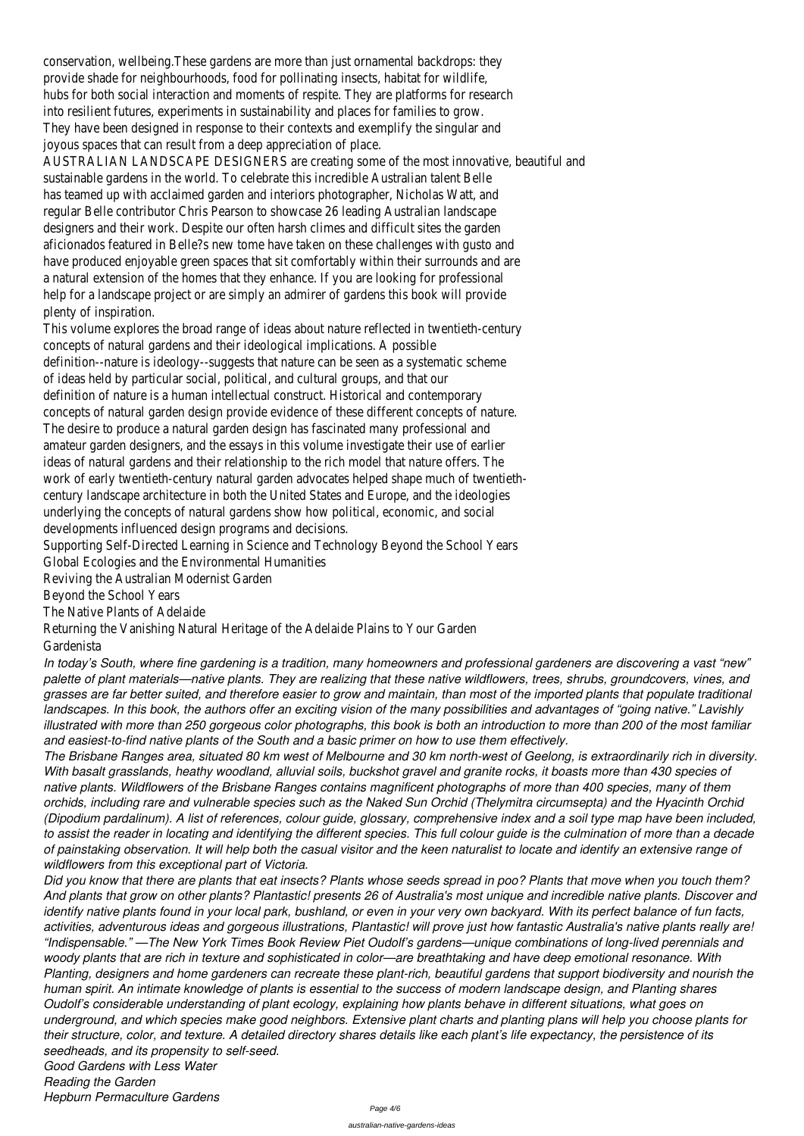conservation, wellbeing.These gardens are more than just ornamental backdrops: they provide shade for neighbourhoods, food for pollinating insects, habitat for wildlife, hubs for both social interaction and moments of respite. They are platforms for research into resilient futures, experiments in sustainability and places for families to grow. They have been designed in response to their contexts and exemplify the singular and joyous spaces that can result from a deep appreciation of place.

AUSTRALIAN LANDSCAPE DESIGNERS are creating some of the most innovative, beautiful and sustainable gardens in the world. To celebrate this incredible Australian talent Belle has teamed up with acclaimed garden and interiors photographer, Nicholas Watt, and regular Belle contributor Chris Pearson to showcase 26 leading Australian landscape designers and their work. Despite our often harsh climes and difficult sites the garden aficionados featured in Belle?s new tome have taken on these challenges with gusto and have produced enjoyable green spaces that sit comfortably within their surrounds and are a natural extension of the homes that they enhance. If you are looking for professional help for a landscape project or are simply an admirer of gardens this book will provide plenty of inspiration.

This volume explores the broad range of ideas about nature reflected in twentieth-century concepts of natural gardens and their ideological implications. A possible definition--nature is ideology--suggests that nature can be seen as a systematic scheme of ideas held by particular social, political, and cultural groups, and that our definition of nature is a human intellectual construct. Historical and contemporary concepts of natural garden design provide evidence of these different concepts of nature. The desire to produce a natural garden design has fascinated many professional and amateur garden designers, and the essays in this volume investigate their use of earlier ideas of natural gardens and their relationship to the rich model that nature offers. The work of early twentieth-century natural garden advocates helped shape much of twentiethcentury landscape architecture in both the United States and Europe, and the ideologies underlying the concepts of natural gardens show how political, economic, and social developments influenced design programs and decisions.

Supporting Self-Directed Learning in Science and Technology Beyond the School Years Global Ecologies and the Environmental Humanities

Reviving the Australian Modernist Garden

Beyond the School Years

The Native Plants of Adelaide

Returning the Vanishing Natural Heritage of the Adelaide Plains to Your Garden Gardenista

*In today's South, where fine gardening is a tradition, many homeowners and professional gardeners are discovering a vast "new" palette of plant materials—native plants. They are realizing that these native wildflowers, trees, shrubs, groundcovers, vines, and grasses are far better suited, and therefore easier to grow and maintain, than most of the imported plants that populate traditional landscapes. In this book, the authors offer an exciting vision of the many possibilities and advantages of "going native." Lavishly illustrated with more than 250 gorgeous color photographs, this book is both an introduction to more than 200 of the most familiar and easiest-to-find native plants of the South and a basic primer on how to use them effectively.*

*The Brisbane Ranges area, situated 80 km west of Melbourne and 30 km north-west of Geelong, is extraordinarily rich in diversity. With basalt grasslands, heathy woodland, alluvial soils, buckshot gravel and granite rocks, it boasts more than 430 species of native plants. Wildflowers of the Brisbane Ranges contains magnificent photographs of more than 400 species, many of them orchids, including rare and vulnerable species such as the Naked Sun Orchid (Thelymitra circumsepta) and the Hyacinth Orchid (Dipodium pardalinum). A list of references, colour guide, glossary, comprehensive index and a soil type map have been included, to assist the reader in locating and identifying the different species. This full colour guide is the culmination of more than a decade of painstaking observation. It will help both the casual visitor and the keen naturalist to locate and identify an extensive range of*

*wildflowers from this exceptional part of Victoria.*

*Did you know that there are plants that eat insects? Plants whose seeds spread in poo? Plants that move when you touch them? And plants that grow on other plants? Plantastic! presents 26 of Australia's most unique and incredible native plants. Discover and identify native plants found in your local park, bushland, or even in your very own backyard. With its perfect balance of fun facts, activities, adventurous ideas and gorgeous illustrations, Plantastic! will prove just how fantastic Australia's native plants really are! "Indispensable." —The New York Times Book Review Piet Oudolf's gardens—unique combinations of long-lived perennials and woody plants that are rich in texture and sophisticated in color—are breathtaking and have deep emotional resonance. With Planting, designers and home gardeners can recreate these plant-rich, beautiful gardens that support biodiversity and nourish the human spirit. An intimate knowledge of plants is essential to the success of modern landscape design, and Planting shares Oudolf's considerable understanding of plant ecology, explaining how plants behave in different situations, what goes on underground, and which species make good neighbors. Extensive plant charts and planting plans will help you choose plants for their structure, color, and texture. A detailed directory shares details like each plant's life expectancy, the persistence of its seedheads, and its propensity to self-seed. Good Gardens with Less Water Reading the Garden*

*Hepburn Permaculture Gardens*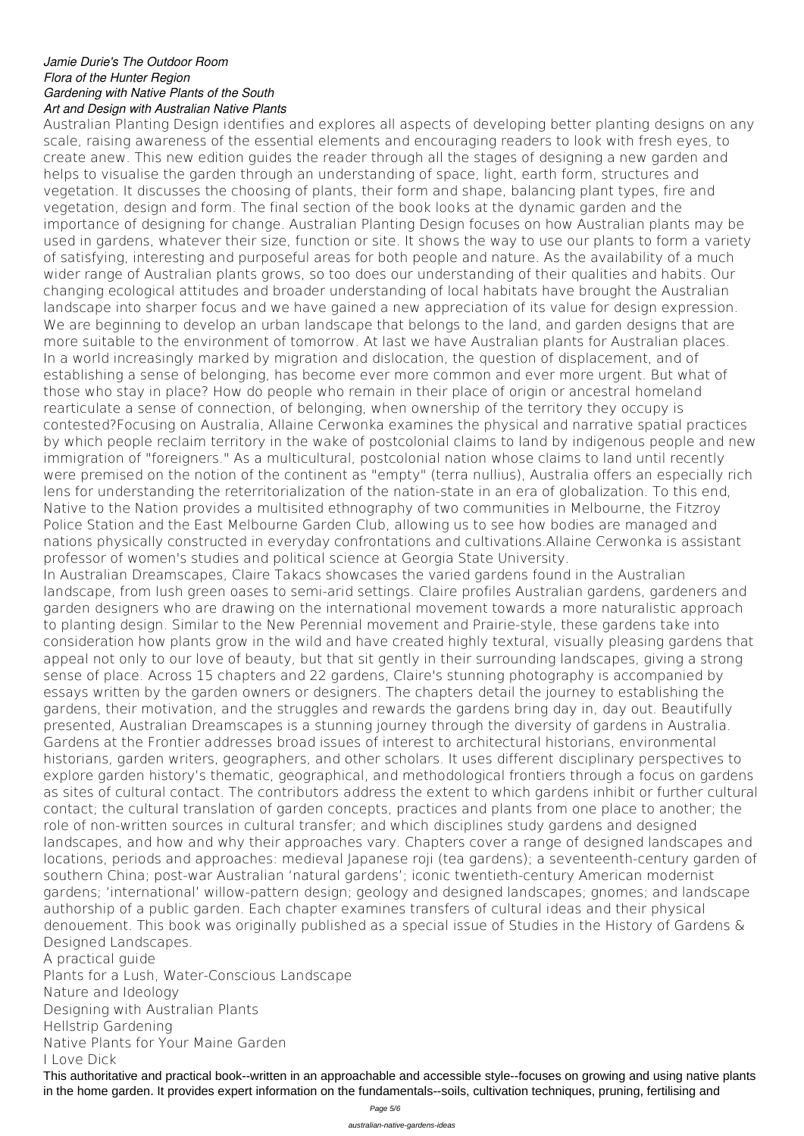## *Jamie Durie's The Outdoor Room Flora of the Hunter Region Gardening with Native Plants of the South Art and Design with Australian Native Plants*

Australian Planting Design identifies and explores all aspects of developing better planting designs on any scale, raising awareness of the essential elements and encouraging readers to look with fresh eyes, to create anew. This new edition guides the reader through all the stages of designing a new garden and helps to visualise the garden through an understanding of space, light, earth form, structures and vegetation. It discusses the choosing of plants, their form and shape, balancing plant types, fire and vegetation, design and form. The final section of the book looks at the dynamic garden and the importance of designing for change. Australian Planting Design focuses on how Australian plants may be used in gardens, whatever their size, function or site. It shows the way to use our plants to form a variety of satisfying, interesting and purposeful areas for both people and nature. As the availability of a much wider range of Australian plants grows, so too does our understanding of their qualities and habits. Our changing ecological attitudes and broader understanding of local habitats have brought the Australian landscape into sharper focus and we have gained a new appreciation of its value for design expression. We are beginning to develop an urban landscape that belongs to the land, and garden designs that are more suitable to the environment of tomorrow. At last we have Australian plants for Australian places. In a world increasingly marked by migration and dislocation, the question of displacement, and of establishing a sense of belonging, has become ever more common and ever more urgent. But what of those who stay in place? How do people who remain in their place of origin or ancestral homeland rearticulate a sense of connection, of belonging, when ownership of the territory they occupy is contested?Focusing on Australia, Allaine Cerwonka examines the physical and narrative spatial practices by which people reclaim territory in the wake of postcolonial claims to land by indigenous people and new immigration of "foreigners." As a multicultural, postcolonial nation whose claims to land until recently were premised on the notion of the continent as "empty" (terra nullius), Australia offers an especially rich lens for understanding the reterritorialization of the nation-state in an era of globalization. To this end, Native to the Nation provides a multisited ethnography of two communities in Melbourne, the Fitzroy Police Station and the East Melbourne Garden Club, allowing us to see how bodies are managed and nations physically constructed in everyday confrontations and cultivations.Allaine Cerwonka is assistant professor of women's studies and political science at Georgia State University. In Australian Dreamscapes, Claire Takacs showcases the varied gardens found in the Australian landscape, from lush green oases to semi-arid settings. Claire profiles Australian gardens, gardeners and garden designers who are drawing on the international movement towards a more naturalistic approach to planting design. Similar to the New Perennial movement and Prairie-style, these gardens take into consideration how plants grow in the wild and have created highly textural, visually pleasing gardens that appeal not only to our love of beauty, but that sit gently in their surrounding landscapes, giving a strong sense of place. Across 15 chapters and 22 gardens, Claire's stunning photography is accompanied by essays written by the garden owners or designers. The chapters detail the journey to establishing the gardens, their motivation, and the struggles and rewards the gardens bring day in, day out. Beautifully presented, Australian Dreamscapes is a stunning journey through the diversity of gardens in Australia. Gardens at the Frontier addresses broad issues of interest to architectural historians, environmental historians, garden writers, geographers, and other scholars. It uses different disciplinary perspectives to explore garden history's thematic, geographical, and methodological frontiers through a focus on gardens as sites of cultural contact. The contributors address the extent to which gardens inhibit or further cultural contact; the cultural translation of garden concepts, practices and plants from one place to another; the role of non-written sources in cultural transfer; and which disciplines study gardens and designed landscapes, and how and why their approaches vary. Chapters cover a range of designed landscapes and

locations, periods and approaches: medieval Japanese roji (tea gardens); a seventeenth-century garden of southern China; post-war Australian 'natural gardens'; iconic twentieth-century American modernist gardens; 'international' willow-pattern design; geology and designed landscapes; gnomes; and landscape authorship of a public garden. Each chapter examines transfers of cultural ideas and their physical denouement. This book was originally published as a special issue of Studies in the History of Gardens & Designed Landscapes.

A practical guide

Plants for a Lush, Water-Conscious Landscape

Nature and Ideology

Designing with Australian Plants

Hellstrip Gardening

Native Plants for Your Maine Garden

I Love Dick

This authoritative and practical book--written in an approachable and accessible style--focuses on growing and using native plants in the home garden. It provides expert information on the fundamentals--soils, cultivation techniques, pruning, fertilising and